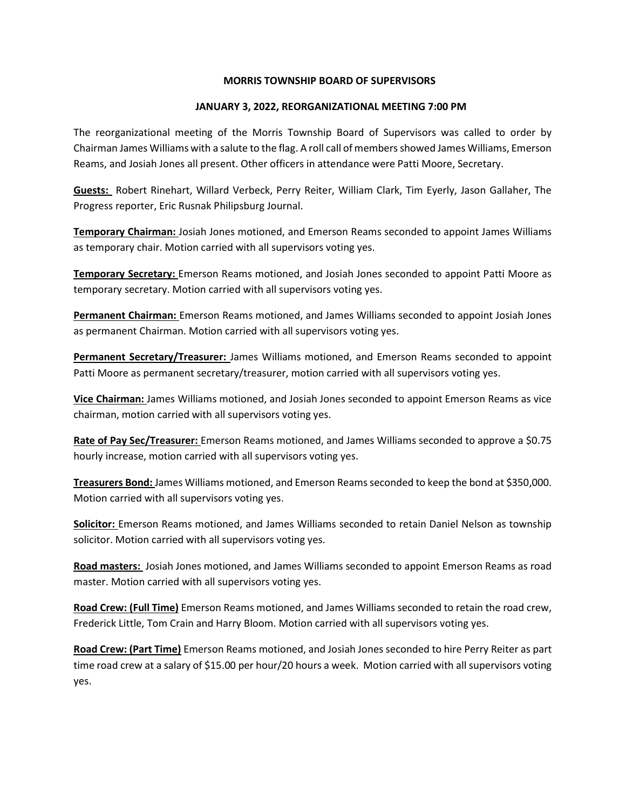## MORRIS TOWNSHIP BOARD OF SUPERVISORS

## JANUARY 3, 2022, REORGANIZATIONAL MEETING 7:00 PM

The reorganizational meeting of the Morris Township Board of Supervisors was called to order by Chairman James Williams with a salute to the flag. A roll call of members showed James Williams, Emerson Reams, and Josiah Jones all present. Other officers in attendance were Patti Moore, Secretary.

Guests: Robert Rinehart, Willard Verbeck, Perry Reiter, William Clark, Tim Eyerly, Jason Gallaher, The Progress reporter, Eric Rusnak Philipsburg Journal.

Temporary Chairman: Josiah Jones motioned, and Emerson Reams seconded to appoint James Williams as temporary chair. Motion carried with all supervisors voting yes.

**Temporary Secretary:** Emerson Reams motioned, and Josiah Jones seconded to appoint Patti Moore as temporary secretary. Motion carried with all supervisors voting yes.

Permanent Chairman: Emerson Reams motioned, and James Williams seconded to appoint Josiah Jones as permanent Chairman. Motion carried with all supervisors voting yes.

Permanent Secretary/Treasurer: James Williams motioned, and Emerson Reams seconded to appoint Patti Moore as permanent secretary/treasurer, motion carried with all supervisors voting yes.

Vice Chairman: James Williams motioned, and Josiah Jones seconded to appoint Emerson Reams as vice chairman, motion carried with all supervisors voting yes.

Rate of Pay Sec/Treasurer: Emerson Reams motioned, and James Williams seconded to approve a \$0.75 hourly increase, motion carried with all supervisors voting yes.

Treasurers Bond: James Williams motioned, and Emerson Reams seconded to keep the bond at \$350,000. Motion carried with all supervisors voting yes.

Solicitor: Emerson Reams motioned, and James Williams seconded to retain Daniel Nelson as township solicitor. Motion carried with all supervisors voting yes.

Road masters: Josiah Jones motioned, and James Williams seconded to appoint Emerson Reams as road master. Motion carried with all supervisors voting yes.

Road Crew: (Full Time) Emerson Reams motioned, and James Williams seconded to retain the road crew, Frederick Little, Tom Crain and Harry Bloom. Motion carried with all supervisors voting yes.

Road Crew: (Part Time) Emerson Reams motioned, and Josiah Jones seconded to hire Perry Reiter as part time road crew at a salary of \$15.00 per hour/20 hours a week. Motion carried with all supervisors voting yes.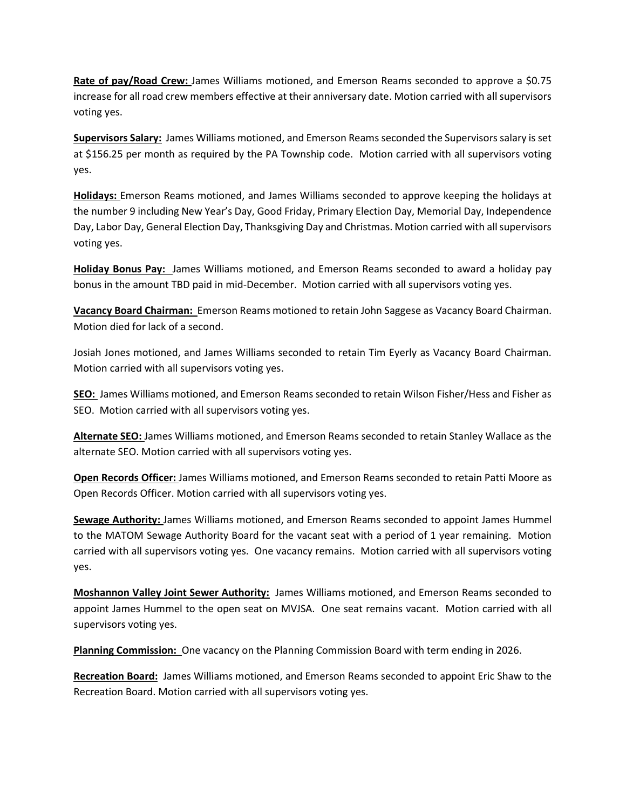Rate of pay/Road Crew: James Williams motioned, and Emerson Reams seconded to approve a \$0.75 increase for all road crew members effective at their anniversary date. Motion carried with all supervisors voting yes.

Supervisors Salary: James Williams motioned, and Emerson Reams seconded the Supervisors salary is set at \$156.25 per month as required by the PA Township code. Motion carried with all supervisors voting yes.

Holidays: Emerson Reams motioned, and James Williams seconded to approve keeping the holidays at the number 9 including New Year's Day, Good Friday, Primary Election Day, Memorial Day, Independence Day, Labor Day, General Election Day, Thanksgiving Day and Christmas. Motion carried with all supervisors voting yes.

Holiday Bonus Pay: James Williams motioned, and Emerson Reams seconded to award a holiday pay bonus in the amount TBD paid in mid-December. Motion carried with all supervisors voting yes.

Vacancy Board Chairman: Emerson Reams motioned to retain John Saggese as Vacancy Board Chairman. Motion died for lack of a second.

Josiah Jones motioned, and James Williams seconded to retain Tim Eyerly as Vacancy Board Chairman. Motion carried with all supervisors voting yes.

SEO: James Williams motioned, and Emerson Reams seconded to retain Wilson Fisher/Hess and Fisher as SEO. Motion carried with all supervisors voting yes.

Alternate SEO: James Williams motioned, and Emerson Reams seconded to retain Stanley Wallace as the alternate SEO. Motion carried with all supervisors voting yes.

Open Records Officer: James Williams motioned, and Emerson Reams seconded to retain Patti Moore as Open Records Officer. Motion carried with all supervisors voting yes.

Sewage Authority: James Williams motioned, and Emerson Reams seconded to appoint James Hummel to the MATOM Sewage Authority Board for the vacant seat with a period of 1 year remaining. Motion carried with all supervisors voting yes. One vacancy remains. Motion carried with all supervisors voting yes.

Moshannon Valley Joint Sewer Authority: James Williams motioned, and Emerson Reams seconded to appoint James Hummel to the open seat on MVJSA. One seat remains vacant. Motion carried with all supervisors voting yes.

Planning Commission: One vacancy on the Planning Commission Board with term ending in 2026.

Recreation Board: James Williams motioned, and Emerson Reams seconded to appoint Eric Shaw to the Recreation Board. Motion carried with all supervisors voting yes.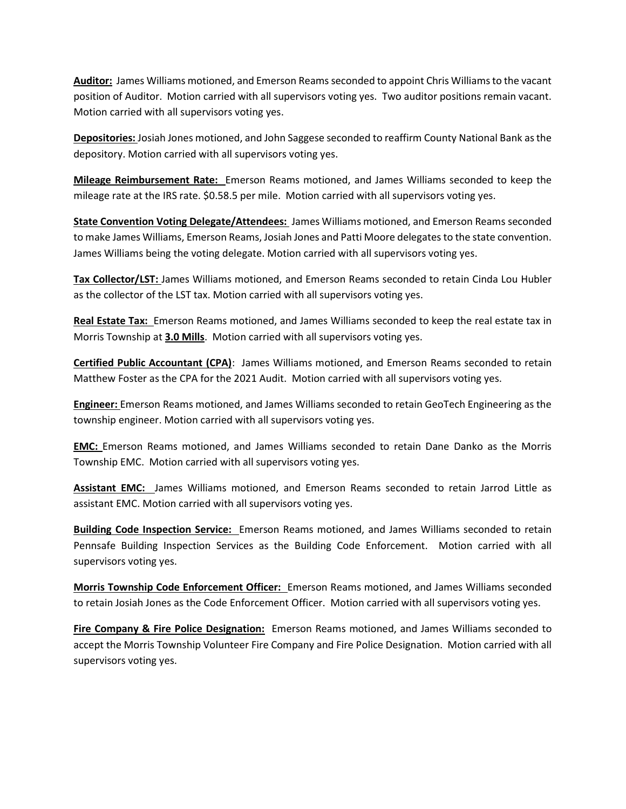Auditor: James Williams motioned, and Emerson Reams seconded to appoint Chris Williams to the vacant position of Auditor. Motion carried with all supervisors voting yes. Two auditor positions remain vacant. Motion carried with all supervisors voting yes.

**Depositories:** Josiah Jones motioned, and John Saggese seconded to reaffirm County National Bank as the depository. Motion carried with all supervisors voting yes.

**Mileage Reimbursement Rate:** Emerson Reams motioned, and James Williams seconded to keep the mileage rate at the IRS rate. \$0.58.5 per mile. Motion carried with all supervisors voting yes.

State Convention Voting Delegate/Attendees: James Williams motioned, and Emerson Reams seconded to make James Williams, Emerson Reams, Josiah Jones and Patti Moore delegates to the state convention. James Williams being the voting delegate. Motion carried with all supervisors voting yes.

Tax Collector/LST: James Williams motioned, and Emerson Reams seconded to retain Cinda Lou Hubler as the collector of the LST tax. Motion carried with all supervisors voting yes.

Real Estate Tax: Emerson Reams motioned, and James Williams seconded to keep the real estate tax in Morris Township at 3.0 Mills. Motion carried with all supervisors voting yes.

Certified Public Accountant (CPA): James Williams motioned, and Emerson Reams seconded to retain Matthew Foster as the CPA for the 2021 Audit. Motion carried with all supervisors voting yes.

Engineer: Emerson Reams motioned, and James Williams seconded to retain GeoTech Engineering as the township engineer. Motion carried with all supervisors voting yes.

EMC: Emerson Reams motioned, and James Williams seconded to retain Dane Danko as the Morris Township EMC. Motion carried with all supervisors voting yes.

Assistant EMC: James Williams motioned, and Emerson Reams seconded to retain Jarrod Little as assistant EMC. Motion carried with all supervisors voting yes.

**Building Code Inspection Service:** Emerson Reams motioned, and James Williams seconded to retain Pennsafe Building Inspection Services as the Building Code Enforcement. Motion carried with all supervisors voting yes.

Morris Township Code Enforcement Officer: Emerson Reams motioned, and James Williams seconded to retain Josiah Jones as the Code Enforcement Officer. Motion carried with all supervisors voting yes.

Fire Company & Fire Police Designation: Emerson Reams motioned, and James Williams seconded to accept the Morris Township Volunteer Fire Company and Fire Police Designation. Motion carried with all supervisors voting yes.